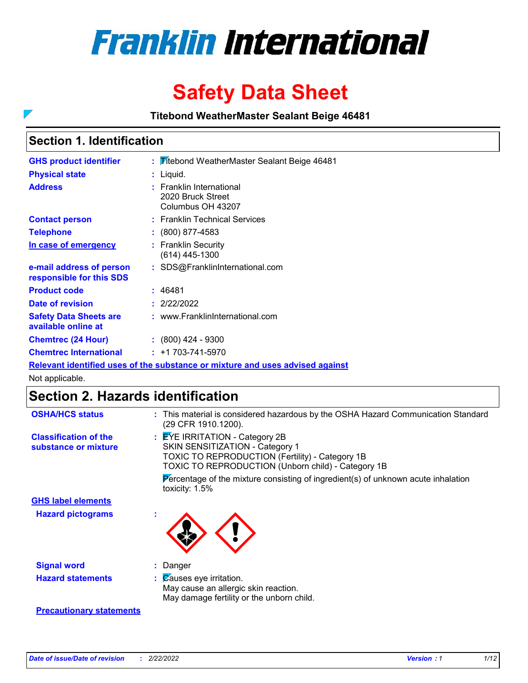

# **Safety Data Sheet**

**Titebond WeatherMaster Sealant Beige 46481**

### **Section 1. Identification**

 $\overline{\phantom{0}}$ 

| <b>GHS product identifier</b>                        | : Titebond WeatherMaster Sealant Beige 46481                                  |
|------------------------------------------------------|-------------------------------------------------------------------------------|
| <b>Physical state</b>                                | : Liquid.                                                                     |
| <b>Address</b>                                       | : Franklin International<br>2020 Bruck Street<br>Columbus OH 43207            |
| <b>Contact person</b>                                | : Franklin Technical Services                                                 |
| <b>Telephone</b>                                     | $: (800) 877 - 4583$                                                          |
| In case of emergency                                 | : Franklin Security<br>$(614)$ 445-1300                                       |
| e-mail address of person<br>responsible for this SDS | : SDS@FranklinInternational.com                                               |
| <b>Product code</b>                                  | : 46481                                                                       |
| Date of revision                                     | : 2/22/2022                                                                   |
| <b>Safety Data Sheets are</b><br>available online at | : www.FranklinInternational.com                                               |
| <b>Chemtrec (24 Hour)</b>                            | $\div$ (800) 424 - 9300                                                       |
| <b>Chemtrec International</b>                        | $: +1703 - 741 - 5970$                                                        |
|                                                      | Relevant identified uses of the substance or mixture and uses advised against |

Not applicable.

### **Section 2. Hazards identification**

| <b>OSHA/HCS status</b>                               | : This material is considered hazardous by the OSHA Hazard Communication Standard<br>(29 CFR 1910.1200).                                                                                                                                                                                    |
|------------------------------------------------------|---------------------------------------------------------------------------------------------------------------------------------------------------------------------------------------------------------------------------------------------------------------------------------------------|
| <b>Classification of the</b><br>substance or mixture | : EYE IRRITATION - Category 2B<br>SKIN SENSITIZATION - Category 1<br><b>TOXIC TO REPRODUCTION (Fertility) - Category 1B</b><br>TOXIC TO REPRODUCTION (Unborn child) - Category 1B<br>Percentage of the mixture consisting of ingredient(s) of unknown acute inhalation<br>toxicity: $1.5\%$ |
| <b>GHS label elements</b>                            |                                                                                                                                                                                                                                                                                             |
| <b>Hazard pictograms</b>                             |                                                                                                                                                                                                                                                                                             |
| <b>Signal word</b>                                   | : Danger                                                                                                                                                                                                                                                                                    |
| <b>Hazard statements</b>                             | $\mathcal{C}$ auses eye irritation.<br>May cause an allergic skin reaction.<br>May damage fertility or the unborn child.                                                                                                                                                                    |
| <b>Precautionary statements</b>                      |                                                                                                                                                                                                                                                                                             |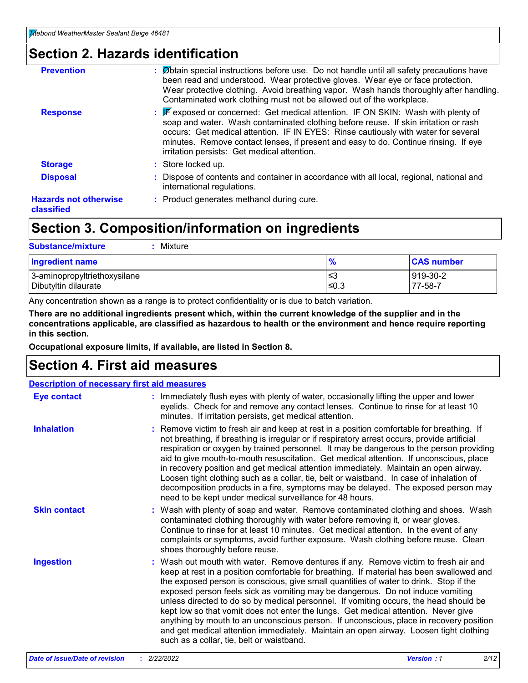### **Section 2. Hazards identification**

| <b>Prevention</b>                          | : Øbtain special instructions before use. Do not handle until all safety precautions have<br>been read and understood. Wear protective gloves. Wear eye or face protection.<br>Wear protective clothing. Avoid breathing vapor. Wash hands thoroughly after handling.<br>Contaminated work clothing must not be allowed out of the workplace.                                                       |
|--------------------------------------------|-----------------------------------------------------------------------------------------------------------------------------------------------------------------------------------------------------------------------------------------------------------------------------------------------------------------------------------------------------------------------------------------------------|
| <b>Response</b>                            | : F exposed or concerned: Get medical attention. IF ON SKIN: Wash with plenty of<br>soap and water. Wash contaminated clothing before reuse. If skin irritation or rash<br>occurs: Get medical attention. IF IN EYES: Rinse cautiously with water for several<br>minutes. Remove contact lenses, if present and easy to do. Continue rinsing. If eye<br>irritation persists: Get medical attention. |
| <b>Storage</b>                             | : Store locked up.                                                                                                                                                                                                                                                                                                                                                                                  |
| <b>Disposal</b>                            | : Dispose of contents and container in accordance with all local, regional, national and<br>international regulations.                                                                                                                                                                                                                                                                              |
| <b>Hazards not otherwise</b><br>classified | : Product generates methanol during cure.                                                                                                                                                                                                                                                                                                                                                           |
|                                            |                                                                                                                                                                                                                                                                                                                                                                                                     |

### **Section 3. Composition/information on ingredients**

| <b>Substance/mixture</b><br>Mixture                  |               |                     |
|------------------------------------------------------|---------------|---------------------|
| Ingredient name                                      | $\frac{9}{6}$ | <b>CAS number</b>   |
| 3-aminopropyltriethoxysilane<br>Dibutyltin dilaurate | ∣≤3<br>≤0.3   | 919-30-2<br>77-58-7 |

Any concentration shown as a range is to protect confidentiality or is due to batch variation.

**There are no additional ingredients present which, within the current knowledge of the supplier and in the concentrations applicable, are classified as hazardous to health or the environment and hence require reporting in this section.**

**Occupational exposure limits, if available, are listed in Section 8.**

### **Section 4. First aid measures**

| <b>Description of necessary first aid measures</b> |                                                                                                                                                                                                                                                                                                                                                                                                                                                                                                                                                                                                                                                                                                                                                                           |  |  |  |
|----------------------------------------------------|---------------------------------------------------------------------------------------------------------------------------------------------------------------------------------------------------------------------------------------------------------------------------------------------------------------------------------------------------------------------------------------------------------------------------------------------------------------------------------------------------------------------------------------------------------------------------------------------------------------------------------------------------------------------------------------------------------------------------------------------------------------------------|--|--|--|
| <b>Eye contact</b>                                 | : Immediately flush eyes with plenty of water, occasionally lifting the upper and lower<br>eyelids. Check for and remove any contact lenses. Continue to rinse for at least 10<br>minutes. If irritation persists, get medical attention.                                                                                                                                                                                                                                                                                                                                                                                                                                                                                                                                 |  |  |  |
| <b>Inhalation</b>                                  | : Remove victim to fresh air and keep at rest in a position comfortable for breathing. If<br>not breathing, if breathing is irregular or if respiratory arrest occurs, provide artificial<br>respiration or oxygen by trained personnel. It may be dangerous to the person providing<br>aid to give mouth-to-mouth resuscitation. Get medical attention. If unconscious, place<br>in recovery position and get medical attention immediately. Maintain an open airway.<br>Loosen tight clothing such as a collar, tie, belt or waistband. In case of inhalation of<br>decomposition products in a fire, symptoms may be delayed. The exposed person may<br>need to be kept under medical surveillance for 48 hours.                                                       |  |  |  |
| <b>Skin contact</b>                                | : Wash with plenty of soap and water. Remove contaminated clothing and shoes. Wash<br>contaminated clothing thoroughly with water before removing it, or wear gloves.<br>Continue to rinse for at least 10 minutes. Get medical attention. In the event of any<br>complaints or symptoms, avoid further exposure. Wash clothing before reuse. Clean<br>shoes thoroughly before reuse.                                                                                                                                                                                                                                                                                                                                                                                     |  |  |  |
| <b>Ingestion</b>                                   | : Wash out mouth with water. Remove dentures if any. Remove victim to fresh air and<br>keep at rest in a position comfortable for breathing. If material has been swallowed and<br>the exposed person is conscious, give small quantities of water to drink. Stop if the<br>exposed person feels sick as vomiting may be dangerous. Do not induce vomiting<br>unless directed to do so by medical personnel. If vomiting occurs, the head should be<br>kept low so that vomit does not enter the lungs. Get medical attention. Never give<br>anything by mouth to an unconscious person. If unconscious, place in recovery position<br>and get medical attention immediately. Maintain an open airway. Loosen tight clothing<br>such as a collar, tie, belt or waistband. |  |  |  |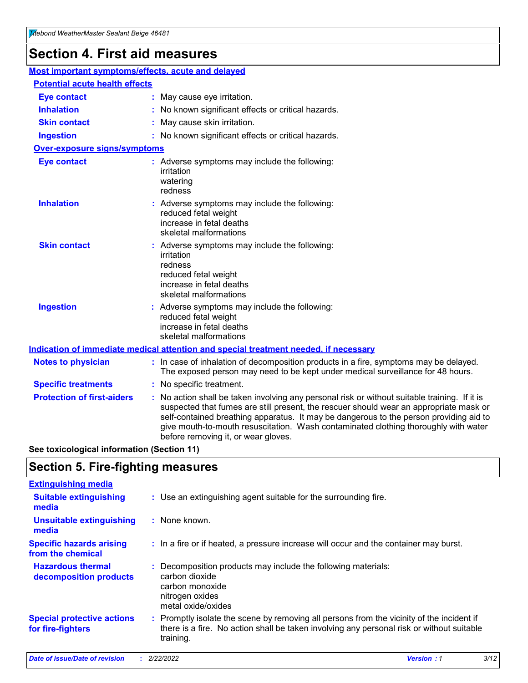### **Section 4. First aid measures**

| Most important symptoms/effects, acute and delayed |                                       |                                                                                                                                                                                                                                                                                                                                                                                                                 |  |  |  |
|----------------------------------------------------|---------------------------------------|-----------------------------------------------------------------------------------------------------------------------------------------------------------------------------------------------------------------------------------------------------------------------------------------------------------------------------------------------------------------------------------------------------------------|--|--|--|
|                                                    | <b>Potential acute health effects</b> |                                                                                                                                                                                                                                                                                                                                                                                                                 |  |  |  |
| <b>Eye contact</b>                                 |                                       | : May cause eye irritation.                                                                                                                                                                                                                                                                                                                                                                                     |  |  |  |
| <b>Inhalation</b>                                  |                                       | : No known significant effects or critical hazards.                                                                                                                                                                                                                                                                                                                                                             |  |  |  |
| <b>Skin contact</b>                                |                                       | : May cause skin irritation.                                                                                                                                                                                                                                                                                                                                                                                    |  |  |  |
| <b>Ingestion</b>                                   |                                       | : No known significant effects or critical hazards.                                                                                                                                                                                                                                                                                                                                                             |  |  |  |
| Over-exposure signs/symptoms                       |                                       |                                                                                                                                                                                                                                                                                                                                                                                                                 |  |  |  |
| <b>Eye contact</b>                                 |                                       | : Adverse symptoms may include the following:<br>irritation<br>watering<br>redness                                                                                                                                                                                                                                                                                                                              |  |  |  |
| <b>Inhalation</b>                                  |                                       | : Adverse symptoms may include the following:<br>reduced fetal weight<br>increase in fetal deaths<br>skeletal malformations                                                                                                                                                                                                                                                                                     |  |  |  |
| <b>Skin contact</b>                                |                                       | : Adverse symptoms may include the following:<br>irritation<br>redness<br>reduced fetal weight<br>increase in fetal deaths<br>skeletal malformations                                                                                                                                                                                                                                                            |  |  |  |
| <b>Ingestion</b>                                   |                                       | : Adverse symptoms may include the following:<br>reduced fetal weight<br>increase in fetal deaths<br>skeletal malformations                                                                                                                                                                                                                                                                                     |  |  |  |
|                                                    |                                       | <b>Indication of immediate medical attention and special treatment needed, if necessary</b>                                                                                                                                                                                                                                                                                                                     |  |  |  |
| <b>Notes to physician</b>                          |                                       | : In case of inhalation of decomposition products in a fire, symptoms may be delayed.<br>The exposed person may need to be kept under medical surveillance for 48 hours.                                                                                                                                                                                                                                        |  |  |  |
| <b>Specific treatments</b>                         |                                       | : No specific treatment.                                                                                                                                                                                                                                                                                                                                                                                        |  |  |  |
| <b>Protection of first-aiders</b>                  |                                       | : No action shall be taken involving any personal risk or without suitable training. If it is<br>suspected that fumes are still present, the rescuer should wear an appropriate mask or<br>self-contained breathing apparatus. It may be dangerous to the person providing aid to<br>give mouth-to-mouth resuscitation. Wash contaminated clothing thoroughly with water<br>before removing it, or wear gloves. |  |  |  |

**See toxicological information (Section 11)**

### **Section 5. Fire-fighting measures**

| <b>Extinguishing media</b>                             |                                                                                                                                                                                                     |
|--------------------------------------------------------|-----------------------------------------------------------------------------------------------------------------------------------------------------------------------------------------------------|
| <b>Suitable extinguishing</b><br>media                 | : Use an extinguishing agent suitable for the surrounding fire.                                                                                                                                     |
| <b>Unsuitable extinguishing</b><br>media               | : None known.                                                                                                                                                                                       |
| <b>Specific hazards arising</b><br>from the chemical   | : In a fire or if heated, a pressure increase will occur and the container may burst.                                                                                                               |
| <b>Hazardous thermal</b><br>decomposition products     | : Decomposition products may include the following materials:<br>carbon dioxide<br>carbon monoxide<br>nitrogen oxides<br>metal oxide/oxides                                                         |
| <b>Special protective actions</b><br>for fire-fighters | : Promptly isolate the scene by removing all persons from the vicinity of the incident if<br>there is a fire. No action shall be taken involving any personal risk or without suitable<br>training. |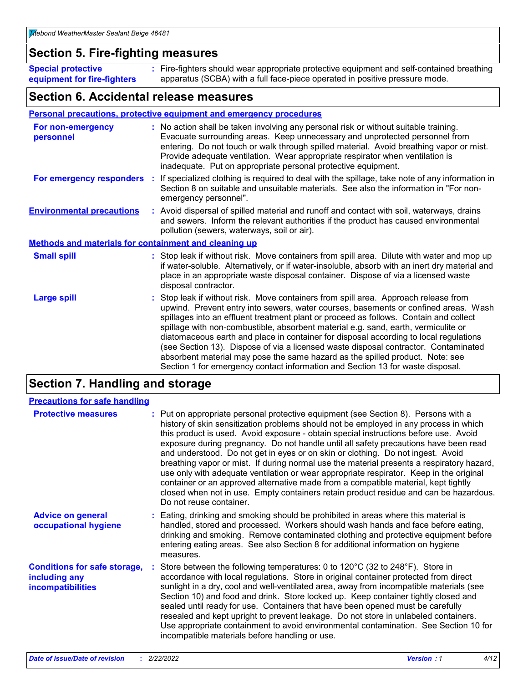### **Section 5. Fire-fighting measures**

**Special protective equipment for fire-fighters** Fire-fighters should wear appropriate protective equipment and self-contained breathing **:** apparatus (SCBA) with a full face-piece operated in positive pressure mode.

### **Section 6. Accidental release measures**

#### **Personal precautions, protective equipment and emergency procedures**

| For non-emergency<br>personnel                               | : No action shall be taken involving any personal risk or without suitable training.<br>Evacuate surrounding areas. Keep unnecessary and unprotected personnel from<br>entering. Do not touch or walk through spilled material. Avoid breathing vapor or mist.<br>Provide adequate ventilation. Wear appropriate respirator when ventilation is<br>inadequate. Put on appropriate personal protective equipment.                                                                                                                                                                                                                                                                                             |
|--------------------------------------------------------------|--------------------------------------------------------------------------------------------------------------------------------------------------------------------------------------------------------------------------------------------------------------------------------------------------------------------------------------------------------------------------------------------------------------------------------------------------------------------------------------------------------------------------------------------------------------------------------------------------------------------------------------------------------------------------------------------------------------|
| For emergency responders                                     | : If specialized clothing is required to deal with the spillage, take note of any information in<br>Section 8 on suitable and unsuitable materials. See also the information in "For non-<br>emergency personnel".                                                                                                                                                                                                                                                                                                                                                                                                                                                                                           |
| <b>Environmental precautions</b>                             | : Avoid dispersal of spilled material and runoff and contact with soil, waterways, drains<br>and sewers. Inform the relevant authorities if the product has caused environmental<br>pollution (sewers, waterways, soil or air).                                                                                                                                                                                                                                                                                                                                                                                                                                                                              |
| <b>Methods and materials for containment and cleaning up</b> |                                                                                                                                                                                                                                                                                                                                                                                                                                                                                                                                                                                                                                                                                                              |
| <b>Small spill</b>                                           | : Stop leak if without risk. Move containers from spill area. Dilute with water and mop up<br>if water-soluble. Alternatively, or if water-insoluble, absorb with an inert dry material and<br>place in an appropriate waste disposal container. Dispose of via a licensed waste<br>disposal contractor.                                                                                                                                                                                                                                                                                                                                                                                                     |
| <b>Large spill</b>                                           | : Stop leak if without risk. Move containers from spill area. Approach release from<br>upwind. Prevent entry into sewers, water courses, basements or confined areas. Wash<br>spillages into an effluent treatment plant or proceed as follows. Contain and collect<br>spillage with non-combustible, absorbent material e.g. sand, earth, vermiculite or<br>diatomaceous earth and place in container for disposal according to local regulations<br>(see Section 13). Dispose of via a licensed waste disposal contractor. Contaminated<br>absorbent material may pose the same hazard as the spilled product. Note: see<br>Section 1 for emergency contact information and Section 13 for waste disposal. |

### **Section 7. Handling and storage**

| <b>Precautions for safe handling</b>                                             |                                                                                                                                                                                                                                                                                                                                                                                                                                                                                                                                                                                                                                                                                                                                                                                                                                                  |
|----------------------------------------------------------------------------------|--------------------------------------------------------------------------------------------------------------------------------------------------------------------------------------------------------------------------------------------------------------------------------------------------------------------------------------------------------------------------------------------------------------------------------------------------------------------------------------------------------------------------------------------------------------------------------------------------------------------------------------------------------------------------------------------------------------------------------------------------------------------------------------------------------------------------------------------------|
| <b>Protective measures</b>                                                       | : Put on appropriate personal protective equipment (see Section 8). Persons with a<br>history of skin sensitization problems should not be employed in any process in which<br>this product is used. Avoid exposure - obtain special instructions before use. Avoid<br>exposure during pregnancy. Do not handle until all safety precautions have been read<br>and understood. Do not get in eyes or on skin or clothing. Do not ingest. Avoid<br>breathing vapor or mist. If during normal use the material presents a respiratory hazard,<br>use only with adequate ventilation or wear appropriate respirator. Keep in the original<br>container or an approved alternative made from a compatible material, kept tightly<br>closed when not in use. Empty containers retain product residue and can be hazardous.<br>Do not reuse container. |
| <b>Advice on general</b><br>occupational hygiene                                 | : Eating, drinking and smoking should be prohibited in areas where this material is<br>handled, stored and processed. Workers should wash hands and face before eating,<br>drinking and smoking. Remove contaminated clothing and protective equipment before<br>entering eating areas. See also Section 8 for additional information on hygiene<br>measures.                                                                                                                                                                                                                                                                                                                                                                                                                                                                                    |
| <b>Conditions for safe storage,</b><br>including any<br><b>incompatibilities</b> | Store between the following temperatures: 0 to $120^{\circ}$ C (32 to $248^{\circ}$ F). Store in<br>accordance with local regulations. Store in original container protected from direct<br>sunlight in a dry, cool and well-ventilated area, away from incompatible materials (see<br>Section 10) and food and drink. Store locked up. Keep container tightly closed and<br>sealed until ready for use. Containers that have been opened must be carefully<br>resealed and kept upright to prevent leakage. Do not store in unlabeled containers.<br>Use appropriate containment to avoid environmental contamination. See Section 10 for<br>incompatible materials before handling or use.                                                                                                                                                     |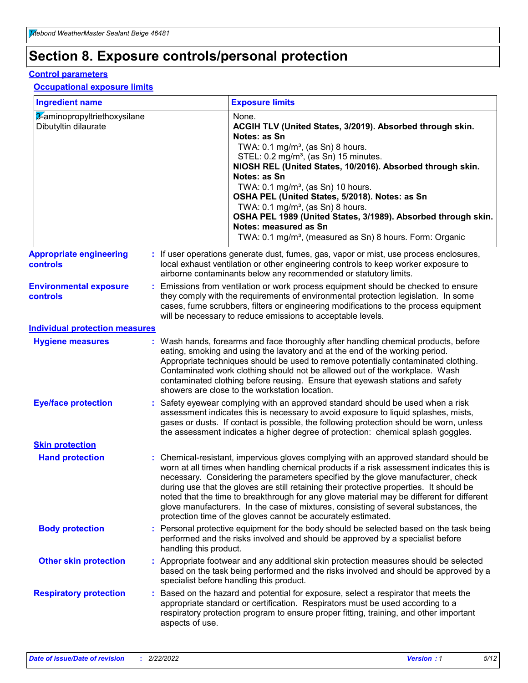### **Section 8. Exposure controls/personal protection**

#### **Control parameters**

#### **Occupational exposure limits**

| <b>Ingredient name</b>                               |                        | <b>Exposure limits</b>                                                                                                                                                                                                                                                                                                                                                                                                                                                                                                                                                                                                 |
|------------------------------------------------------|------------------------|------------------------------------------------------------------------------------------------------------------------------------------------------------------------------------------------------------------------------------------------------------------------------------------------------------------------------------------------------------------------------------------------------------------------------------------------------------------------------------------------------------------------------------------------------------------------------------------------------------------------|
| 3-aminopropyltriethoxysilane<br>Dibutyltin dilaurate |                        | None.<br>ACGIH TLV (United States, 3/2019). Absorbed through skin.<br>Notes: as Sn<br>TWA: $0.1 \text{ mg/m}^3$ , (as Sn) 8 hours.<br>STEL: 0.2 mg/m <sup>3</sup> , (as Sn) 15 minutes.<br>NIOSH REL (United States, 10/2016). Absorbed through skin.<br>Notes: as Sn<br>TWA: 0.1 mg/m <sup>3</sup> , (as Sn) 10 hours.<br>OSHA PEL (United States, 5/2018). Notes: as Sn<br>TWA: $0.1 \text{ mg/m}^3$ , (as Sn) 8 hours.<br>OSHA PEL 1989 (United States, 3/1989). Absorbed through skin.<br><b>Notes: measured as Sn</b><br>TWA: 0.1 mg/m <sup>3</sup> , (measured as Sn) 8 hours. Form: Organic                     |
| <b>Appropriate engineering</b><br>controls           |                        | : If user operations generate dust, fumes, gas, vapor or mist, use process enclosures,<br>local exhaust ventilation or other engineering controls to keep worker exposure to<br>airborne contaminants below any recommended or statutory limits.                                                                                                                                                                                                                                                                                                                                                                       |
| <b>Environmental exposure</b><br><b>controls</b>     |                        | Emissions from ventilation or work process equipment should be checked to ensure<br>they comply with the requirements of environmental protection legislation. In some<br>cases, fume scrubbers, filters or engineering modifications to the process equipment<br>will be necessary to reduce emissions to acceptable levels.                                                                                                                                                                                                                                                                                          |
| <b>Individual protection measures</b>                |                        |                                                                                                                                                                                                                                                                                                                                                                                                                                                                                                                                                                                                                        |
| <b>Hygiene measures</b>                              |                        | : Wash hands, forearms and face thoroughly after handling chemical products, before<br>eating, smoking and using the lavatory and at the end of the working period.<br>Appropriate techniques should be used to remove potentially contaminated clothing.<br>Contaminated work clothing should not be allowed out of the workplace. Wash<br>contaminated clothing before reusing. Ensure that eyewash stations and safety<br>showers are close to the workstation location.                                                                                                                                            |
| <b>Eye/face protection</b>                           |                        | Safety eyewear complying with an approved standard should be used when a risk<br>assessment indicates this is necessary to avoid exposure to liquid splashes, mists,<br>gases or dusts. If contact is possible, the following protection should be worn, unless<br>the assessment indicates a higher degree of protection: chemical splash goggles.                                                                                                                                                                                                                                                                    |
| <b>Skin protection</b>                               |                        |                                                                                                                                                                                                                                                                                                                                                                                                                                                                                                                                                                                                                        |
| <b>Hand protection</b>                               |                        | : Chemical-resistant, impervious gloves complying with an approved standard should be<br>worn at all times when handling chemical products if a risk assessment indicates this is<br>necessary. Considering the parameters specified by the glove manufacturer, check<br>during use that the gloves are still retaining their protective properties. It should be<br>noted that the time to breakthrough for any glove material may be different for different<br>glove manufacturers. In the case of mixtures, consisting of several substances, the<br>protection time of the gloves cannot be accurately estimated. |
| <b>Body protection</b>                               | handling this product. | Personal protective equipment for the body should be selected based on the task being<br>performed and the risks involved and should be approved by a specialist before                                                                                                                                                                                                                                                                                                                                                                                                                                                |
| <b>Other skin protection</b>                         |                        | : Appropriate footwear and any additional skin protection measures should be selected<br>based on the task being performed and the risks involved and should be approved by a<br>specialist before handling this product.                                                                                                                                                                                                                                                                                                                                                                                              |
| <b>Respiratory protection</b>                        | aspects of use.        | Based on the hazard and potential for exposure, select a respirator that meets the<br>appropriate standard or certification. Respirators must be used according to a<br>respiratory protection program to ensure proper fitting, training, and other important                                                                                                                                                                                                                                                                                                                                                         |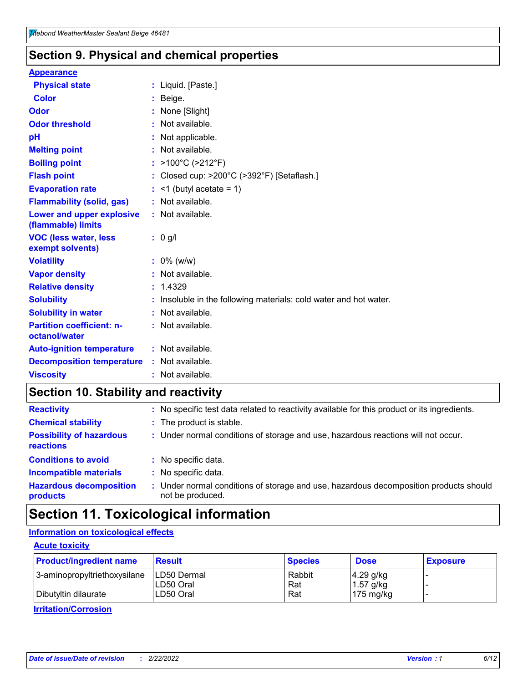### **Section 9. Physical and chemical properties**

#### **Appearance**

| <b>Physical state</b>                             | : Liquid. [Paste.]                                                |
|---------------------------------------------------|-------------------------------------------------------------------|
| Color                                             | Beige.                                                            |
| Odor                                              | None [Slight]                                                     |
| <b>Odor threshold</b>                             | : Not available.                                                  |
| рH                                                | : Not applicable.                                                 |
| <b>Melting point</b>                              | : Not available.                                                  |
| <b>Boiling point</b>                              | : >100°C (>212°F)                                                 |
| <b>Flash point</b>                                | : Closed cup: >200°C (>392°F) [Setaflash.]                        |
| <b>Evaporation rate</b>                           | $:$ <1 (butyl acetate = 1)                                        |
| <b>Flammability (solid, gas)</b>                  | : Not available.                                                  |
| Lower and upper explosive<br>(flammable) limits   | : Not available.                                                  |
| <b>VOC (less water, less</b><br>exempt solvents)  | : 0 g/l                                                           |
| <b>Volatility</b>                                 | $: 0\%$ (w/w)                                                     |
| <b>Vapor density</b>                              | : Not available.                                                  |
| <b>Relative density</b>                           | : 1.4329                                                          |
| <b>Solubility</b>                                 | : Insoluble in the following materials: cold water and hot water. |
| <b>Solubility in water</b>                        | : Not available.                                                  |
| <b>Partition coefficient: n-</b><br>octanol/water | : Not available.                                                  |
| <b>Auto-ignition temperature</b>                  | : Not available.                                                  |
| <b>Decomposition temperature</b>                  | : Not available.                                                  |
| <b>Viscosity</b>                                  | : Not available.                                                  |

### **Section 10. Stability and reactivity**

| <b>Reactivity</b>                            |    | : No specific test data related to reactivity available for this product or its ingredients.            |
|----------------------------------------------|----|---------------------------------------------------------------------------------------------------------|
| <b>Chemical stability</b>                    |    | : The product is stable.                                                                                |
| <b>Possibility of hazardous</b><br>reactions |    | : Under normal conditions of storage and use, hazardous reactions will not occur.                       |
| <b>Conditions to avoid</b>                   |    | : No specific data.                                                                                     |
| <b>Incompatible materials</b>                | ٠. | No specific data.                                                                                       |
| <b>Hazardous decomposition</b><br>products   | ÷. | Under normal conditions of storage and use, hazardous decomposition products should<br>not be produced. |

### **Section 11. Toxicological information**

#### **Information on toxicological effects**

#### **Acute toxicity**

| <b>Product/ingredient name</b> | <b>Result</b>           | <b>Species</b> | <b>Dose</b>                | <b>Exposure</b> |
|--------------------------------|-------------------------|----------------|----------------------------|-----------------|
| 3-aminopropyltriethoxysilane   | <b>ILD50 Dermal</b>     | Rabbit         | 4.29 g/kg                  |                 |
| Dibutyltin dilaurate           | ILD50 Oral<br>LD50 Oral | Rat<br>Rat     | $1.57$ g/kg<br>175 $mg/kg$ |                 |
|                                |                         |                |                            |                 |

**Irritation/Corrosion**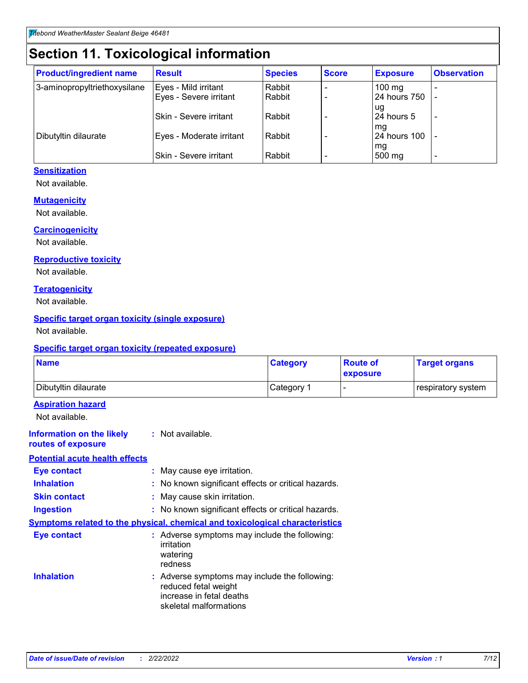## **Section 11. Toxicological information**

| <b>Product/ingredient name</b> | <b>Result</b>            | <b>Species</b> | <b>Score</b> | <b>Exposure</b>           | <b>Observation</b> |
|--------------------------------|--------------------------|----------------|--------------|---------------------------|--------------------|
| 3-aminopropyltriethoxysilane   | Eyes - Mild irritant     | Rabbit         |              | $100 \text{ mg}$          |                    |
|                                | Eyes - Severe irritant   | Rabbit         |              | 24 hours 750              |                    |
|                                |                          |                |              | ug                        |                    |
|                                | Skin - Severe irritant   | Rabbit         |              | 24 hours 5                | -                  |
| Dibutyltin dilaurate           | Eyes - Moderate irritant | Rabbit         |              | mq<br><b>24 hours 100</b> |                    |
|                                |                          |                |              | mg                        |                    |
|                                | Skin - Severe irritant   | Rabbit         |              | 500 mg                    | -                  |

#### **Sensitization**

Not available.

#### **Mutagenicity**

Not available.

#### **Carcinogenicity**

Not available.

#### **Reproductive toxicity**

Not available.

#### **Teratogenicity**

Not available.

#### **Specific target organ toxicity (single exposure)**

Not available.

#### **Specific target organ toxicity (repeated exposure)**

| <b>Name</b>                                                                         |                                                                            | <b>Category</b>                                     | <b>Route of</b><br>exposure | <b>Target organs</b> |
|-------------------------------------------------------------------------------------|----------------------------------------------------------------------------|-----------------------------------------------------|-----------------------------|----------------------|
| Dibutyltin dilaurate                                                                |                                                                            | Category 1                                          | -                           | respiratory system   |
| <b>Aspiration hazard</b><br>Not available.                                          |                                                                            |                                                     |                             |                      |
| <b>Information on the likely</b><br>routes of exposure                              | : Not available.                                                           |                                                     |                             |                      |
| <b>Potential acute health effects</b>                                               |                                                                            |                                                     |                             |                      |
| <b>Eye contact</b>                                                                  | : May cause eye irritation.                                                |                                                     |                             |                      |
| <b>Inhalation</b>                                                                   |                                                                            | : No known significant effects or critical hazards. |                             |                      |
| <b>Skin contact</b>                                                                 | : May cause skin irritation.                                               |                                                     |                             |                      |
| <b>Ingestion</b>                                                                    |                                                                            | : No known significant effects or critical hazards. |                             |                      |
| <b>Symptoms related to the physical, chemical and toxicological characteristics</b> |                                                                            |                                                     |                             |                      |
| <b>Eye contact</b>                                                                  | irritation<br>watering<br>redness                                          | : Adverse symptoms may include the following:       |                             |                      |
| <b>Inhalation</b>                                                                   | reduced fetal weight<br>increase in fetal deaths<br>skeletal malformations | : Adverse symptoms may include the following:       |                             |                      |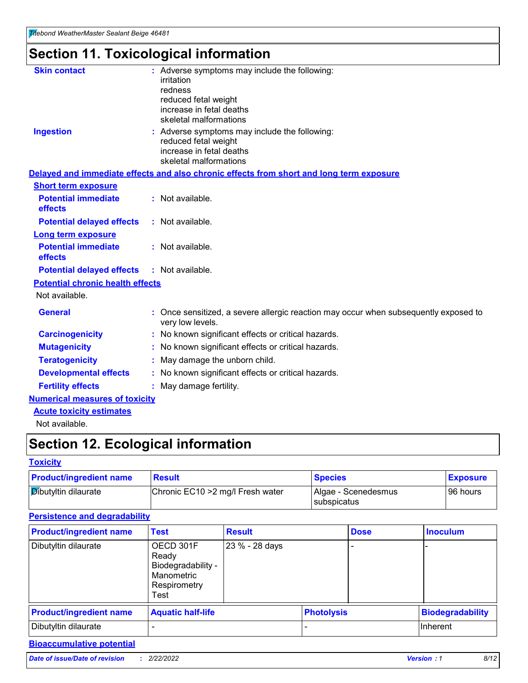### **Section 11. Toxicological information**

| <b>Skin contact</b>                     | : Adverse symptoms may include the following:                                                            |
|-----------------------------------------|----------------------------------------------------------------------------------------------------------|
|                                         | irritation                                                                                               |
|                                         | redness                                                                                                  |
|                                         | reduced fetal weight                                                                                     |
|                                         | increase in fetal deaths                                                                                 |
|                                         | skeletal malformations                                                                                   |
| <b>Ingestion</b>                        | : Adverse symptoms may include the following:                                                            |
|                                         | reduced fetal weight                                                                                     |
|                                         | increase in fetal deaths                                                                                 |
|                                         | skeletal malformations                                                                                   |
|                                         | Delayed and immediate effects and also chronic effects from short and long term exposure                 |
| <b>Short term exposure</b>              |                                                                                                          |
| <b>Potential immediate</b>              | : Not available.                                                                                         |
| effects                                 |                                                                                                          |
| <b>Potential delayed effects</b>        | : Not available.                                                                                         |
| Long term exposure                      |                                                                                                          |
| <b>Potential immediate</b>              | : Not available.                                                                                         |
| effects                                 |                                                                                                          |
| <b>Potential delayed effects</b>        | : Not available.                                                                                         |
| <b>Potential chronic health effects</b> |                                                                                                          |
| Not available.                          |                                                                                                          |
| <b>General</b>                          | : Once sensitized, a severe allergic reaction may occur when subsequently exposed to<br>very low levels. |
| <b>Carcinogenicity</b>                  | : No known significant effects or critical hazards.                                                      |
| <b>Mutagenicity</b>                     | : No known significant effects or critical hazards.                                                      |
| <b>Teratogenicity</b>                   | May damage the unborn child.                                                                             |
| <b>Developmental effects</b>            | : No known significant effects or critical hazards.                                                      |
| <b>Fertility effects</b>                | May damage fertility.                                                                                    |
| <b>Numerical measures of toxicity</b>   |                                                                                                          |
| <b>Acute toxicity estimates</b>         |                                                                                                          |
| الملمانة المستنقط فالمرابط              |                                                                                                          |

Not available.

### **Section 12. Ecological information**

#### **Toxicity**

| <b>Product/ingredient name</b> | <b>Result</b>                     | <b>Species</b>                       | <b>Exposure</b> |
|--------------------------------|-----------------------------------|--------------------------------------|-----------------|
| <b>Dibutyltin dilaurate</b>    | Chronic EC10 > 2 mg/l Fresh water | Algae - Scenedesmus<br>I subspicatus | l 96 hours      |

#### **Persistence and degradability**

| <b>Product/ingredient name</b> | <b>Test</b>                                                                    | <b>Result</b>  |                   | <b>Dose</b> | <b>Inoculum</b>         |
|--------------------------------|--------------------------------------------------------------------------------|----------------|-------------------|-------------|-------------------------|
| Dibutyltin dilaurate           | OECD 301F<br>Ready<br>Biodegradability -<br>Manometric<br>Respirometry<br>Test | 23 % - 28 days |                   |             |                         |
| <b>Product/ingredient name</b> | <b>Aquatic half-life</b>                                                       |                | <b>Photolysis</b> |             | <b>Biodegradability</b> |
| Dibutyltin dilaurate           |                                                                                |                |                   |             | Inherent                |

### **Bioaccumulative potential**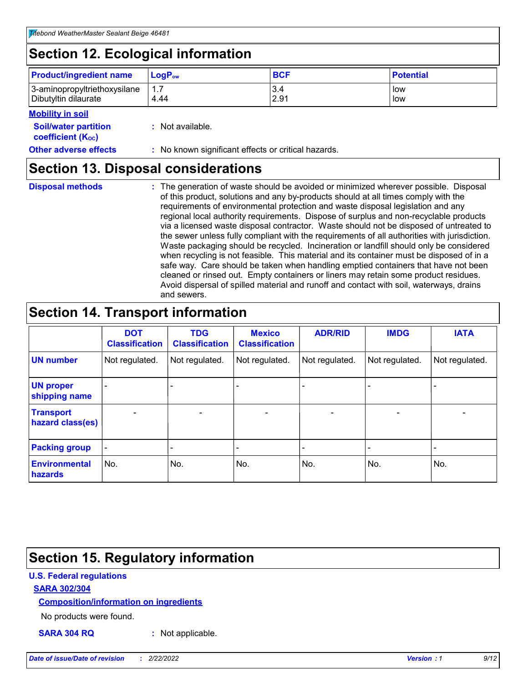### **Section 12. Ecological information**

| <b>Product/ingredient name</b> | $LoaPow$ | <b>BCF</b> | <b>Potential</b> |
|--------------------------------|----------|------------|------------------|
| 3-aminopropyltriethoxysilane   | 1.7      | 3.4        | low              |
| Dibutyltin dilaurate           | 4.44     | 2.91       | low              |

#### **Mobility in soil**

| <b>Soil/water partition</b><br>coefficient (K <sub>oc</sub> ) | : Not available.                                    |
|---------------------------------------------------------------|-----------------------------------------------------|
| <b>Other adverse effects</b>                                  | : No known significant effects or critical hazards. |

### **Section 13. Disposal considerations**

**Disposal methods :**

The generation of waste should be avoided or minimized wherever possible. Disposal of this product, solutions and any by-products should at all times comply with the requirements of environmental protection and waste disposal legislation and any regional local authority requirements. Dispose of surplus and non-recyclable products via a licensed waste disposal contractor. Waste should not be disposed of untreated to the sewer unless fully compliant with the requirements of all authorities with jurisdiction. Waste packaging should be recycled. Incineration or landfill should only be considered when recycling is not feasible. This material and its container must be disposed of in a safe way. Care should be taken when handling emptied containers that have not been cleaned or rinsed out. Empty containers or liners may retain some product residues. Avoid dispersal of spilled material and runoff and contact with soil, waterways, drains and sewers.

### **Section 14. Transport information**

|                                      | <b>DOT</b><br><b>Classification</b> | <b>TDG</b><br><b>Classification</b> | <b>Mexico</b><br><b>Classification</b> | <b>ADR/RID</b> | <b>IMDG</b>              | <b>IATA</b>              |
|--------------------------------------|-------------------------------------|-------------------------------------|----------------------------------------|----------------|--------------------------|--------------------------|
| <b>UN number</b>                     | Not regulated.                      | Not regulated.                      | Not regulated.                         | Not regulated. | Not regulated.           | Not regulated.           |
| <b>UN proper</b><br>shipping name    | $\blacksquare$                      |                                     |                                        |                |                          |                          |
| <b>Transport</b><br>hazard class(es) | $\blacksquare$                      | $\overline{\phantom{a}}$            | $\blacksquare$                         | $\blacksquare$ | $\overline{\phantom{a}}$ | $\overline{\phantom{0}}$ |
| <b>Packing group</b>                 | $\overline{\phantom{a}}$            | $\overline{\phantom{0}}$            | $\overline{\phantom{a}}$               | -              | $\overline{\phantom{0}}$ | $\overline{\phantom{a}}$ |
| <b>Environmental</b><br>hazards      | No.                                 | No.                                 | No.                                    | No.            | No.                      | No.                      |

### **Section 15. Regulatory information**

#### **U.S. Federal regulations**

#### **SARA 302/304**

#### **Composition/information on ingredients**

No products were found.

**SARA 304 RQ :** Not applicable.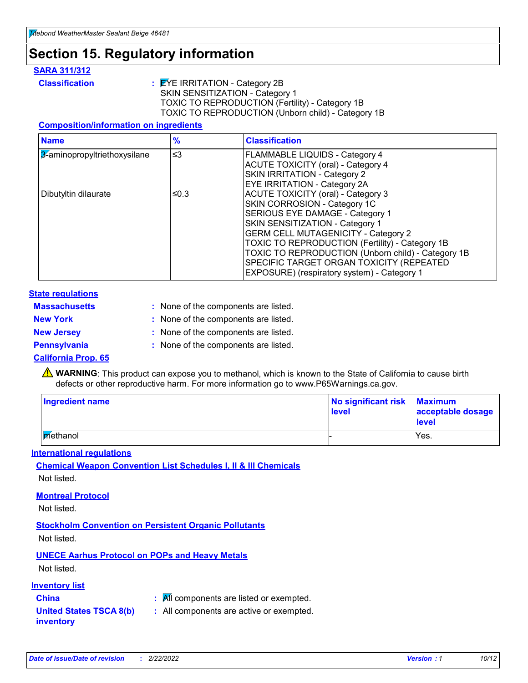### **Section 15. Regulatory information**

#### **SARA 311/312**

**Classification :** EYE IRRITATION - Category 2B SKIN SENSITIZATION - Category 1 TOXIC TO REPRODUCTION (Fertility) - Category 1B TOXIC TO REPRODUCTION (Unborn child) - Category 1B

#### **Composition/information on ingredients**

| <b>Name</b>                  | $\frac{9}{6}$ | <b>Classification</b>                                                                                                                                                                                                                                                                                                                                                                      |
|------------------------------|---------------|--------------------------------------------------------------------------------------------------------------------------------------------------------------------------------------------------------------------------------------------------------------------------------------------------------------------------------------------------------------------------------------------|
| 3-aminopropyltriethoxysilane | $\leq$ 3      | <b>FLAMMABLE LIQUIDS - Category 4</b><br><b>ACUTE TOXICITY (oral) - Category 4</b><br>SKIN IRRITATION - Category 2<br>EYE IRRITATION - Category 2A                                                                                                                                                                                                                                         |
| Dibutyltin dilaurate         | ≤0.3          | ACUTE TOXICITY (oral) - Category 3<br>SKIN CORROSION - Category 1C<br>SERIOUS EYE DAMAGE - Category 1<br>SKIN SENSITIZATION - Category 1<br><b>GERM CELL MUTAGENICITY - Category 2</b><br>TOXIC TO REPRODUCTION (Fertility) - Category 1B<br>TOXIC TO REPRODUCTION (Unborn child) - Category 1B<br>SPECIFIC TARGET ORGAN TOXICITY (REPEATED<br>EXPOSURE) (respiratory system) - Category 1 |

#### **State regulations**

| <b>Massachusetts</b> | : None of the components are listed. |
|----------------------|--------------------------------------|
| <b>New York</b>      | : None of the components are listed. |
| <b>New Jersey</b>    | : None of the components are listed. |
| Pennsylvania         | : None of the components are listed. |

#### **California Prop. 65**

**A** WARNING: This product can expose you to methanol, which is known to the State of California to cause birth defects or other reproductive harm. For more information go to www.P65Warnings.ca.gov.

| <b>Ingredient name</b> | No significant risk Maximum<br>level | acceptable dosage<br>level |
|------------------------|--------------------------------------|----------------------------|
| methanol               |                                      | Yes.                       |

#### **International regulations**

**Chemical Weapon Convention List Schedules I, II & III Chemicals** Not listed.

#### **Montreal Protocol**

Not listed.

**Stockholm Convention on Persistent Organic Pollutants**

Not listed.

### **UNECE Aarhus Protocol on POPs and Heavy Metals**

Not listed.

#### **Inventory list**

**China :** All components are listed or exempted. **:** All components are active or exempted.

#### **United States TSCA 8(b) inventory**

*Date of issue/Date of revision* **:** *2/22/2022 Version : 1 10/12*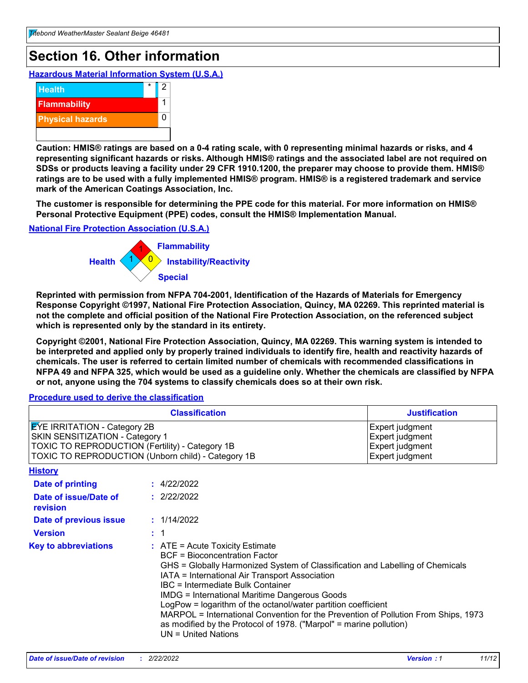### **Section 16. Other information**

**Hazardous Material Information System (U.S.A.)**



**Caution: HMIS® ratings are based on a 0-4 rating scale, with 0 representing minimal hazards or risks, and 4 representing significant hazards or risks. Although HMIS® ratings and the associated label are not required on SDSs or products leaving a facility under 29 CFR 1910.1200, the preparer may choose to provide them. HMIS® ratings are to be used with a fully implemented HMIS® program. HMIS® is a registered trademark and service mark of the American Coatings Association, Inc.**

**The customer is responsible for determining the PPE code for this material. For more information on HMIS® Personal Protective Equipment (PPE) codes, consult the HMIS® Implementation Manual.**

#### **National Fire Protection Association (U.S.A.)**



**Reprinted with permission from NFPA 704-2001, Identification of the Hazards of Materials for Emergency Response Copyright ©1997, National Fire Protection Association, Quincy, MA 02269. This reprinted material is not the complete and official position of the National Fire Protection Association, on the referenced subject which is represented only by the standard in its entirety.**

**Copyright ©2001, National Fire Protection Association, Quincy, MA 02269. This warning system is intended to be interpreted and applied only by properly trained individuals to identify fire, health and reactivity hazards of chemicals. The user is referred to certain limited number of chemicals with recommended classifications in NFPA 49 and NFPA 325, which would be used as a guideline only. Whether the chemicals are classified by NFPA or not, anyone using the 704 systems to classify chemicals does so at their own risk.**

#### **Procedure used to derive the classification**

| <b>Classification</b>                                                                                                                                                           |                                                                                                                                                                                                                                                                   | <b>Justification</b>                                                                                                                                                                                                                                                                                       |  |
|---------------------------------------------------------------------------------------------------------------------------------------------------------------------------------|-------------------------------------------------------------------------------------------------------------------------------------------------------------------------------------------------------------------------------------------------------------------|------------------------------------------------------------------------------------------------------------------------------------------------------------------------------------------------------------------------------------------------------------------------------------------------------------|--|
| <b>EYE IRRITATION - Category 2B</b><br>SKIN SENSITIZATION - Category 1<br>TOXIC TO REPRODUCTION (Fertility) - Category 1B<br>TOXIC TO REPRODUCTION (Unborn child) - Category 1B |                                                                                                                                                                                                                                                                   | Expert judgment<br>Expert judgment<br>Expert judgment<br>Expert judgment                                                                                                                                                                                                                                   |  |
| <b>History</b>                                                                                                                                                                  |                                                                                                                                                                                                                                                                   |                                                                                                                                                                                                                                                                                                            |  |
| <b>Date of printing</b>                                                                                                                                                         | : 4/22/2022                                                                                                                                                                                                                                                       |                                                                                                                                                                                                                                                                                                            |  |
| Date of issue/Date of<br>revision                                                                                                                                               | : 2/22/2022                                                                                                                                                                                                                                                       |                                                                                                                                                                                                                                                                                                            |  |
| Date of previous issue                                                                                                                                                          | : 1/14/2022                                                                                                                                                                                                                                                       |                                                                                                                                                                                                                                                                                                            |  |
| <b>Version</b>                                                                                                                                                                  | $\div$ 1                                                                                                                                                                                                                                                          |                                                                                                                                                                                                                                                                                                            |  |
| <b>Key to abbreviations</b>                                                                                                                                                     | $\therefore$ ATE = Acute Toxicity Estimate<br><b>BCF</b> = Bioconcentration Factor<br>IATA = International Air Transport Association<br><b>IBC</b> = Intermediate Bulk Container<br><b>IMDG = International Maritime Dangerous Goods</b><br>$UN = United Nations$ | GHS = Globally Harmonized System of Classification and Labelling of Chemicals<br>LogPow = logarithm of the octanol/water partition coefficient<br>MARPOL = International Convention for the Prevention of Pollution From Ships, 1973<br>as modified by the Protocol of 1978. ("Marpol" = marine pollution) |  |